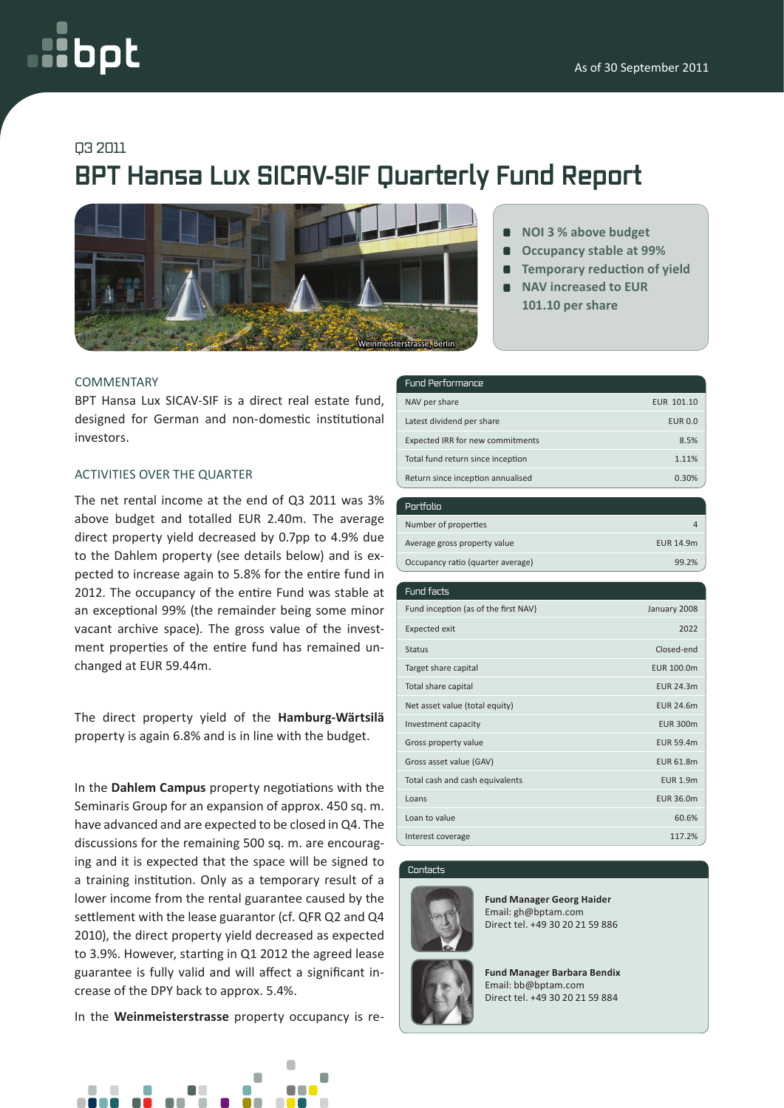# opt

### Q3 2011

## **BPT Hansa Lux SICAV-SIF Quarterly Fund Report**



#### **COMMENTARY**

BPT Hansa Lux SICAV-SIF is a direct real estate fund, designed for German and non-domestic institutional investors.

#### Activities over the quarter

The net rental income at the end of Q3 2011 was 3% above budget and totalled EUR 2.40m. The average direct property yield decreased by 0.7pp to 4.9% due to the Dahlem property (see details below) and is expected to increase again to 5.8% for the entire fund in 2012. The occupancy of the entire Fund was stable at an exceptional 99% (the remainder being some minor vacant archive space). The gross value of the investment properties of the entire fund has remained unchanged at EUR 59.44m.

The direct property yield of the **Hamburg-Wärtsilä**  property is again 6.8% and is in line with the budget.

In the **Dahlem Campus** property negotiations with the Seminaris Group for an expansion of approx. 450 sq. m. have advanced and are expected to be closed in Q4. The discussions for the remaining 500 sq. m. are encouraging and it is expected that the space will be signed to a training institution. Only as a temporary result of a lower income from the rental guarantee caused by the settlement with the lease guarantor (cf. QFR Q2 and Q4 2010), the direct property yield decreased as expected to 3.9%. However, starting in Q1 2012 the agreed lease guarantee is fully valid and will affect a significant increase of the DPY back to approx. 5.4%.

In the **Weinmeisterstrasse** property occupancy is re-



- **NOI 3 % above budget**
- **Occupancy stable at 99%**  $\blacksquare$
- **Temporary reduction of yield**
- **NAV increased to EUR 101.10 per share**

#### Fund Performance

| NAV per share                     | EUR 101.10     |
|-----------------------------------|----------------|
| Latest dividend per share         | <b>EUR 0.0</b> |
| Expected IRR for new commitments  | 8.5%           |
| Total fund return since inception | 1.11%          |
| Return since inception annualised | 0.30%          |

| Portfolio                         |           |
|-----------------------------------|-----------|
| Number of properties              |           |
| Average gross property value      | EUR 14.9m |
| Occupancy ratio (quarter average) | 99.2%     |

| Fund facts                           |                  |
|--------------------------------------|------------------|
| Fund inception (as of the first NAV) | January 2008     |
| <b>Expected exit</b>                 | 2022             |
| <b>Status</b>                        | Closed-end       |
| Target share capital                 | EUR 100.0m       |
| Total share capital                  | <b>EUR 24.3m</b> |
| Net asset value (total equity)       | <b>EUR 24.6m</b> |
| Investment capacity                  | <b>EUR 300m</b>  |
| Gross property value                 | <b>EUR 59.4m</b> |
| Gross asset value (GAV)              | EUR 61.8m        |
| Total cash and cash equivalents      | <b>EUR 1.9m</b>  |
| Loans                                | EUR 36.0m        |
| Loan to value                        | 60.6%            |
| Interest coverage                    | 117.2%           |

#### Contacts



**Fund Manager Georg Haider** Email: gh@bptam.com Direct tel. +49 30 20 21 59 886

**Fund Manager Barbara Bendix** Email: bb@bptam.com Direct tel. +49 30 20 21 59 884